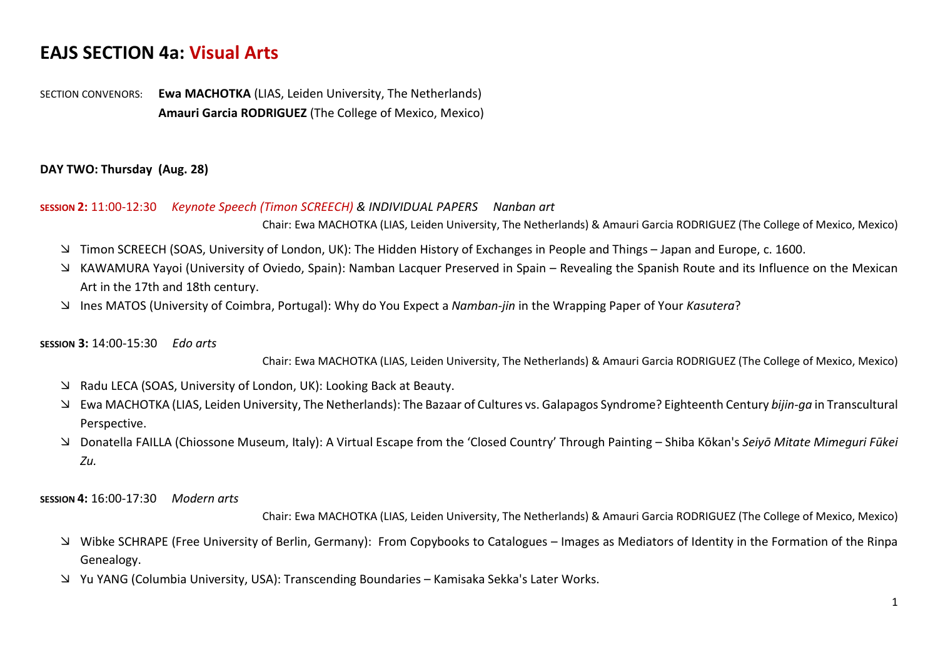# **EAJS SECTION 4a: Visual Arts**

SECTION CONVENORS: **Ewa MACHOTKA** (LIAS, Leiden University, The Netherlands) **Amauri Garcia RODRIGUEZ** (The College of Mexico, Mexico)

### **DAY TWO: Thursday (Aug. 28)**

## **SESSION 2:** 11:00-12:30 *Keynote Speech (Timon SCREECH) & INDIVIDUAL PAPERS Nanban art* Chair: Ewa MACHOTKA (LIAS, Leiden University, The Netherlands) & Amauri Garcia RODRIGUEZ (The College of Mexico, Mexico)

- Timon SCREECH (SOAS, University of London, UK): The Hidden History of Exchanges in People and Things Japan and Europe, c. 1600.
- KAWAMURA Yayoi (University of Oviedo, Spain): Namban Lacquer Preserved in Spain Revealing the Spanish Route and its Influence on the Mexican Art in the 17th and 18th century.
- Ines MATOS (University of Coimbra, Portugal): Why do You Expect a *Namban-jin* in the Wrapping Paper of Your *Kasutera*?

#### **SESSION 3:** 14:00-15:30 *Edo arts*

Chair: Ewa MACHOTKA (LIAS, Leiden University, The Netherlands) & Amauri Garcia RODRIGUEZ (The College of Mexico, Mexico)

- Radu LECA (SOAS, University of London, UK): Looking Back at Beauty.
- Ewa MACHOTKA (LIAS, Leiden University, The Netherlands): The Bazaar of Cultures vs. Galapagos Syndrome? Eighteenth Century *bijin-ga* in Transcultural Perspective.
- Donatella FAILLA (Chiossone Museum, Italy): A Virtual Escape from the 'Closed Country' Through Painting Shiba Kōkan's *Seiyō Mitate Mimeguri Fūkei Zu.*

### **SESSION 4:** 16:00-17:30 *Modern arts*

Chair: Ewa MACHOTKA (LIAS, Leiden University, The Netherlands) & Amauri Garcia RODRIGUEZ (The College of Mexico, Mexico)

- Wibke SCHRAPE (Free University of Berlin, Germany): From Copybooks to Catalogues Images as Mediators of Identity in the Formation of the Rinpa Genealogy.
- Yu YANG (Columbia University, USA): Transcending Boundaries Kamisaka Sekka's Later Works.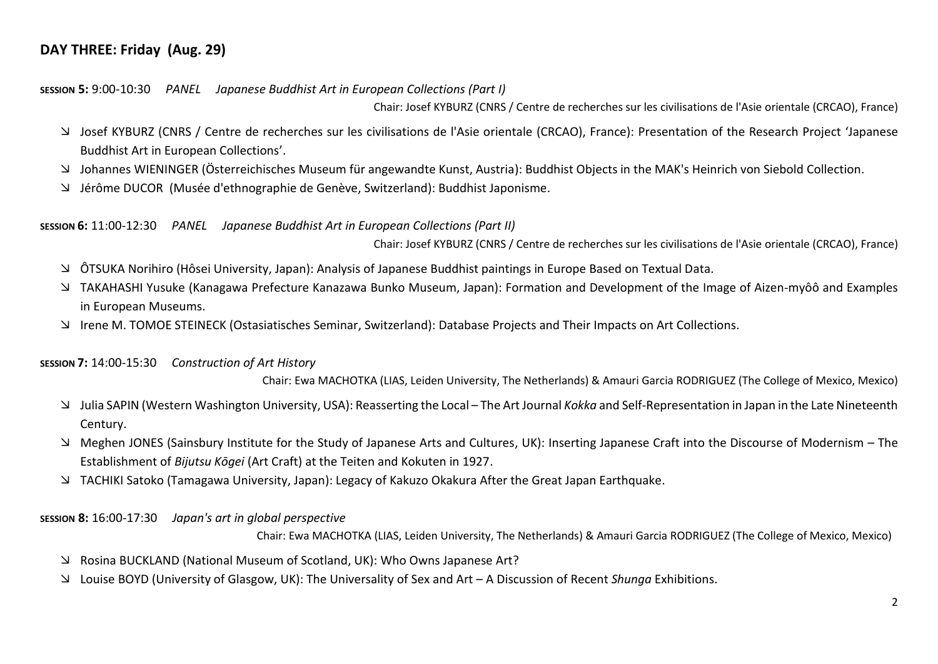# **DAY THREE: Friday (Aug. 29)**

**SESSION 5:** 9:00-10:30 *PANEL Japanese Buddhist Art in European Collections (Part I)* 

Chair: Josef KYBURZ (CNRS / Centre de recherches sur les civilisations de l'Asie orientale (CRCAO), France)

- Josef KYBURZ (CNRS / Centre de recherches sur les civilisations de l'Asie orientale (CRCAO), France): Presentation of the Research Project 'Japanese Buddhist Art in European Collections'.
- Johannes WIENINGER (Österreichisches Museum für angewandte Kunst, Austria): Buddhist Objects in the MAK's Heinrich von Siebold Collection.
- Jérôme DUCOR (Musée d'ethnographie de Genève, Switzerland): Buddhist Japonisme.

### **SESSION 6:** 11:00-12:30*PANEL Japanese Buddhist Art in European Collections (Part II)*

Chair: Josef KYBURZ (CNRS / Centre de recherches sur les civilisations de l'Asie orientale (CRCAO), France)

- ÔTSUKA Norihiro (Hôsei University, Japan): Analysis of Japanese Buddhist paintings in Europe Based on Textual Data.
- TAKAHASHI Yusuke (Kanagawa Prefecture Kanazawa Bunko Museum, Japan): Formation and Development of the Image of Aizen-myôô and Examples in European Museums.
- Irene M. TOMOE STEINECK (Ostasiatisches Seminar, Switzerland): Database Projects and Their Impacts on Art Collections.

### **SESSION 7:** 14:00-15:30 *Construction of Art History*

Chair: Ewa MACHOTKA (LIAS, Leiden University, The Netherlands) & Amauri Garcia RODRIGUEZ (The College of Mexico, Mexico)

- Julia SAPIN (Western Washington University, USA): Reasserting the Local The Art Journal *Kokka* and Self-Representation in Japan in the Late Nineteenth Century.
- Meghen JONES (Sainsbury Institute for the Study of Japanese Arts and Cultures, UK): Inserting Japanese Craft into the Discourse of Modernism The Establishment of *Bijutsu Kōgei* (Art Craft) at the Teiten and Kokuten in 1927.
- TACHIKI Satoko (Tamagawa University, Japan): Legacy of Kakuzo Okakura After the Great Japan Earthquake.

### **SESSION 8:** 16:00-17:30 *Japan's art in global perspective*

Chair: Ewa MACHOTKA (LIAS, Leiden University, The Netherlands) & Amauri Garcia RODRIGUEZ (The College of Mexico, Mexico)

- Rosina BUCKLAND (National Museum of Scotland, UK): Who Owns Japanese Art?
- Louise BOYD (University of Glasgow, UK): The Universality of Sex and Art A Discussion of Recent *Shunga* Exhibitions.